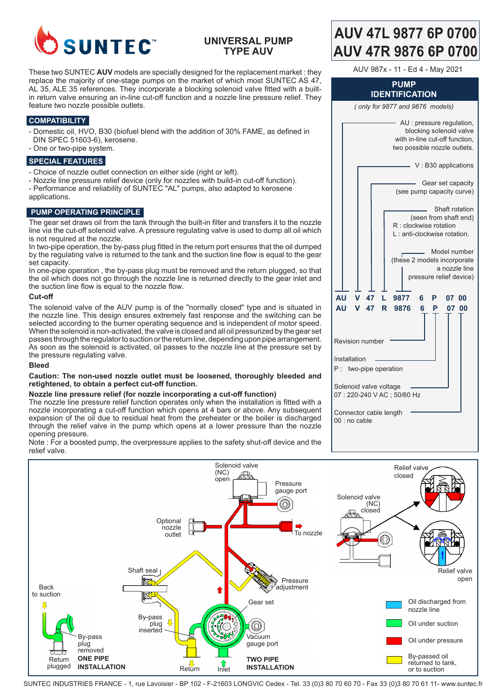

## **UNIVERSAL PUMP TYPE AUV**

These two SUNTEC **AUV** models are specially designed for the replacement market : they replace the majority of one-stage pumps on the market of which most SUNTEC AS 47, AL 35, ALE 35 references. They incorporate a blocking solenoid valve fitted with a builtin return valve ensuring an in-line cut-off function and a nozzle line pressure relief. They feature two nozzle possible outlets.

## **COMPATIBILITY**

- Domestic oil, HVO, B30 (biofuel blend with the addition of 30% FAME, as defined in DIN SPEC 51603-6), kerosene.
- One or two-pipe system.

### **SPECIAL FEATURES**

- Choice of nozzle outlet connection on either side (right or left).
- Nozzle line pressure relief device (only for nozzles with build-in cut-off function). - Performance and reliability of SUNTEC "AL" pumps, also adapted to kerosene applications.

#### **PUMP OPERATING PRINCIPLE**

The gear set draws oil from the tank through the built-in filter and transfers it to the nozzle line via the cut-off solenoid valve. A pressure regulating valve is used to dump all oil which is not required at the nozzle.

In two-pipe operation, the by-pass plug fitted in the return port ensures that the oil dumped by the regulating valve is returned to the tank and the suction line flow is equal to the gear set capacity.

In one-pipe operation , the by-pass plug must be removed and the return plugged, so that the oil which does not go through the nozzle line is returned directly to the gear inlet and the suction line flow is equal to the nozzle flow.

#### **Cut-off**

The solenoid valve of the AUV pump is of the "normally closed" type and is situated in the nozzle line. This design ensures extremely fast response and the switching can be selected according to the burner operating sequence and is independent of motor speed. When the solenoid is non-activated, the valve is closed and all oil pressurized by the gear set passes through the regulator to suction or the return line, depending upon pipe arrangement. As soon as the solenoid is activated, oil passes to the nozzle line at the pressure set by the pressure regulating valve.

#### **Bleed**

#### **Caution: The non-used nozzle outlet must be loosened, thoroughly bleeded and retightened, to obtain a perfect cut-off function.**

#### **Nozzle line pressure relief (for nozzle incorporating a cut-off function)**

The nozzle line pressure relief function operates only when the installation is fitted with a nozzle incorporating a cut-off function which opens at 4 bars or above. Any subsequent expansion of the oil due to residual heat from the preheater or the boiler is discharged through the relief valve in the pump which opens at a lower pressure than the nozzle opening pressure.

Note : For a boosted pump, the overpressure applies to the safety shut-off device and the relief valve.

# **AUV 47L 9877 6P 0700 AUV 47R 9876 6P 0700**

AUV 987x - 11 - Ed 4 - May 2021

#### **PUMP IDENTIFICATION**

*( only for 9877 and 9876 models)*

|                                                     |  |               |                        |    | with in-line cut-off function,<br>two possible nozzle outlets. |   |   |       | AU : pressure regulation,<br>blocking solenoid valve     |
|-----------------------------------------------------|--|---------------|------------------------|----|----------------------------------------------------------------|---|---|-------|----------------------------------------------------------|
|                                                     |  |               |                        |    |                                                                |   |   |       | V: B30 applications                                      |
|                                                     |  |               |                        |    | (see pump capacity curve)                                      |   |   |       | Gear set capacity                                        |
|                                                     |  |               |                        |    | R : clockwise rotation<br>L: anti-clockwise rotation.          |   |   |       | Shaft rotation<br>(seen from shaft end)                  |
|                                                     |  |               |                        |    | (these 2 models incorporate                                    |   |   |       | Model number<br>a nozzle line<br>pressure relief device) |
| <b>AU</b>                                           |  | v             | 47                     | L. | 9877                                                           | 6 | Р | 07 00 |                                                          |
| <b>AU</b>                                           |  | v             | 47                     | R  | 9876                                                           | 6 | Р | 07    | 00                                                       |
|                                                     |  |               | <b>Revision number</b> |    |                                                                |   |   |       |                                                          |
| P:                                                  |  | Installation  | two-pipe operation     |    |                                                                |   |   |       |                                                          |
| Solenoid valve voltage<br>07: 220-240 VAC; 50/60 Hz |  |               |                        |    |                                                                |   |   |       |                                                          |
|                                                     |  | 00 : no cable | Connector cable length |    |                                                                |   |   |       |                                                          |



SUNTEC INDUSTRIES FRANCE - 1, rue Lavoisier - BP 102 - F-21603 LONGVIC Cedex - Tel. 33 (0)3 80 70 60 70 - Fax 33 (0)3 80 70 61 11- www.suntec.fr